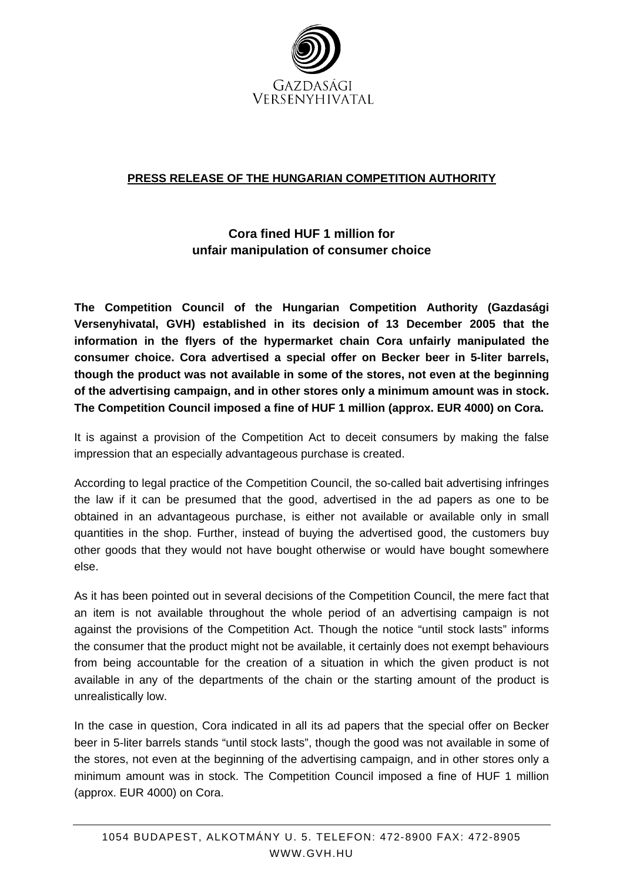

## **PRESS RELEASE OF THE HUNGARIAN COMPETITION AUTHORITY**

## **Cora fined HUF 1 million for unfair manipulation of consumer choice**

**The Competition Council of the Hungarian Competition Authority (Gazdasági Versenyhivatal, GVH) established in its decision of 13 December 2005 that the information in the flyers of the hypermarket chain Cora unfairly manipulated the consumer choice. Cora advertised a special offer on Becker beer in 5-liter barrels, though the product was not available in some of the stores, not even at the beginning of the advertising campaign, and in other stores only a minimum amount was in stock. The Competition Council imposed a fine of HUF 1 million (approx. EUR 4000) on Cora.** 

It is against a provision of the Competition Act to deceit consumers by making the false impression that an especially advantageous purchase is created.

According to legal practice of the Competition Council, the so-called bait advertising infringes the law if it can be presumed that the good, advertised in the ad papers as one to be obtained in an advantageous purchase, is either not available or available only in small quantities in the shop. Further, instead of buying the advertised good, the customers buy other goods that they would not have bought otherwise or would have bought somewhere else.

As it has been pointed out in several decisions of the Competition Council, the mere fact that an item is not available throughout the whole period of an advertising campaign is not against the provisions of the Competition Act. Though the notice "until stock lasts" informs the consumer that the product might not be available, it certainly does not exempt behaviours from being accountable for the creation of a situation in which the given product is not available in any of the departments of the chain or the starting amount of the product is unrealistically low.

In the case in question, Cora indicated in all its ad papers that the special offer on Becker beer in 5-liter barrels stands "until stock lasts", though the good was not available in some of the stores, not even at the beginning of the advertising campaign, and in other stores only a minimum amount was in stock. The Competition Council imposed a fine of HUF 1 million (approx. EUR 4000) on Cora.